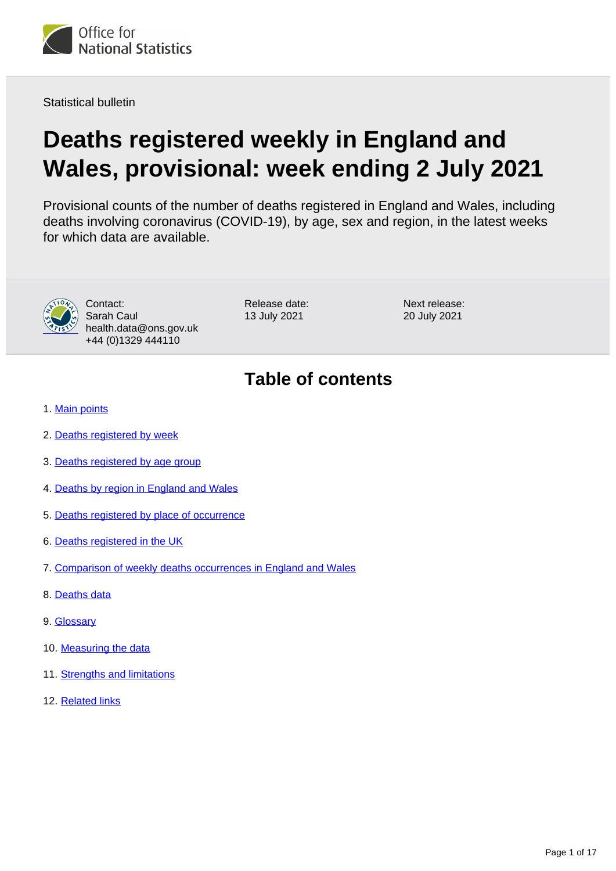

Statistical bulletin

# **Deaths registered weekly in England and Wales, provisional: week ending 2 July 2021**

Provisional counts of the number of deaths registered in England and Wales, including deaths involving coronavirus (COVID-19), by age, sex and region, in the latest weeks for which data are available.



Contact: Sarah Caul health.data@ons.gov.uk +44 (0)1329 444110

Release date: 13 July 2021

Next release: 20 July 2021

# **Table of contents**

- 1. [Main points](#page-1-0)
- 2. [Deaths registered by week](#page-1-1)
- 3. [Deaths registered by age group](#page-5-0)
- 4. [Deaths by region in England and Wales](#page-6-0)
- 5. [Deaths registered by place of occurrence](#page-8-0)
- 6. [Deaths registered in the UK](#page-11-0)
- 7. [Comparison of weekly deaths occurrences in England and Wales](#page-12-0)
- 8. [Deaths data](#page-13-0)
- 9. [Glossary](#page-13-1)
- 10. [Measuring the data](#page-13-2)
- 11. [Strengths and limitations](#page-15-0)
- 12. [Related links](#page-16-0)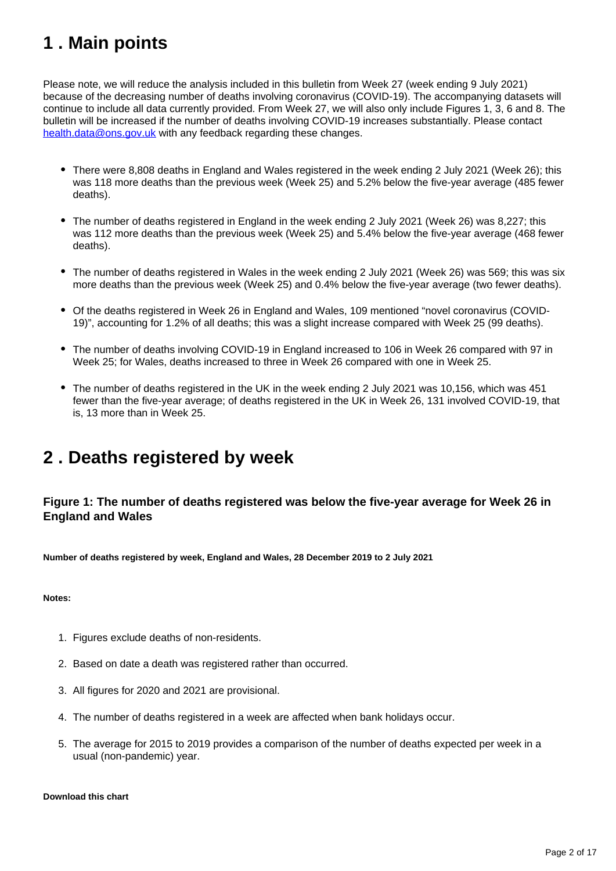# <span id="page-1-0"></span>**1 . Main points**

Please note, we will reduce the analysis included in this bulletin from Week 27 (week ending 9 July 2021) because of the decreasing number of deaths involving coronavirus (COVID-19). The accompanying datasets will continue to include all data currently provided. From Week 27, we will also only include Figures 1, 3, 6 and 8. The bulletin will be increased if the number of deaths involving COVID-19 increases substantially. Please contact [health.data@ons.gov.uk](mailto:health.data@ons.gov.uk) with any feedback regarding these changes.

- There were 8,808 deaths in England and Wales registered in the week ending 2 July 2021 (Week 26); this was 118 more deaths than the previous week (Week 25) and 5.2% below the five-year average (485 fewer deaths).
- The number of deaths registered in England in the week ending 2 July 2021 (Week 26) was 8,227; this was 112 more deaths than the previous week (Week 25) and 5.4% below the five-year average (468 fewer deaths).
- The number of deaths registered in Wales in the week ending 2 July 2021 (Week 26) was 569; this was six more deaths than the previous week (Week 25) and 0.4% below the five-year average (two fewer deaths).
- Of the deaths registered in Week 26 in England and Wales, 109 mentioned "novel coronavirus (COVID-19)", accounting for 1.2% of all deaths; this was a slight increase compared with Week 25 (99 deaths).
- The number of deaths involving COVID-19 in England increased to 106 in Week 26 compared with 97 in Week 25; for Wales, deaths increased to three in Week 26 compared with one in Week 25.
- The number of deaths registered in the UK in the week ending 2 July 2021 was 10,156, which was 451 fewer than the five-year average; of deaths registered in the UK in Week 26, 131 involved COVID-19, that is, 13 more than in Week 25.

# <span id="page-1-1"></span>**2 . Deaths registered by week**

### **Figure 1: The number of deaths registered was below the five-year average for Week 26 in England and Wales**

**Number of deaths registered by week, England and Wales, 28 December 2019 to 2 July 2021**

**Notes:**

- 1. Figures exclude deaths of non-residents.
- 2. Based on date a death was registered rather than occurred.
- 3. All figures for 2020 and 2021 are provisional.
- 4. The number of deaths registered in a week are affected when bank holidays occur.
- 5. The average for 2015 to 2019 provides a comparison of the number of deaths expected per week in a usual (non-pandemic) year.

#### **Download this chart**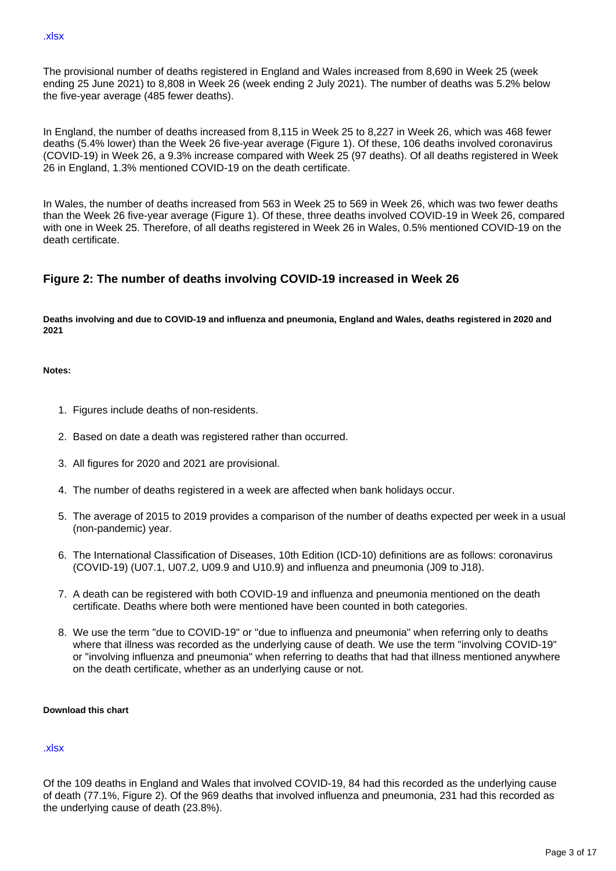The provisional number of deaths registered in England and Wales increased from 8,690 in Week 25 (week ending 25 June 2021) to 8,808 in Week 26 (week ending 2 July 2021). The number of deaths was 5.2% below the five-year average (485 fewer deaths).

In England, the number of deaths increased from 8,115 in Week 25 to 8,227 in Week 26, which was 468 fewer deaths (5.4% lower) than the Week 26 five-year average (Figure 1). Of these, 106 deaths involved coronavirus (COVID-19) in Week 26, a 9.3% increase compared with Week 25 (97 deaths). Of all deaths registered in Week 26 in England, 1.3% mentioned COVID-19 on the death certificate.

In Wales, the number of deaths increased from 563 in Week 25 to 569 in Week 26, which was two fewer deaths than the Week 26 five-year average (Figure 1). Of these, three deaths involved COVID-19 in Week 26, compared with one in Week 25. Therefore, of all deaths registered in Week 26 in Wales, 0.5% mentioned COVID-19 on the death certificate.

#### **Figure 2: The number of deaths involving COVID-19 increased in Week 26**

**Deaths involving and due to COVID-19 and influenza and pneumonia, England and Wales, deaths registered in 2020 and 2021**

**Notes:**

- 1. Figures include deaths of non-residents.
- 2. Based on date a death was registered rather than occurred.
- 3. All figures for 2020 and 2021 are provisional.
- 4. The number of deaths registered in a week are affected when bank holidays occur.
- 5. The average of 2015 to 2019 provides a comparison of the number of deaths expected per week in a usual (non-pandemic) year.
- 6. The International Classification of Diseases, 10th Edition (ICD-10) definitions are as follows: coronavirus (COVID-19) (U07.1, U07.2, U09.9 and U10.9) and influenza and pneumonia (J09 to J18).
- 7. A death can be registered with both COVID-19 and influenza and pneumonia mentioned on the death certificate. Deaths where both were mentioned have been counted in both categories.
- 8. We use the term "due to COVID-19" or "due to influenza and pneumonia" when referring only to deaths where that illness was recorded as the underlying cause of death. We use the term "involving COVID-19" or "involving influenza and pneumonia" when referring to deaths that had that illness mentioned anywhere on the death certificate, whether as an underlying cause or not.

#### **Download this chart**

#### [.xlsx](https://www.ons.gov.uk/visualisations/dvc1472/fig2/datadownload.xlsx)

Of the 109 deaths in England and Wales that involved COVID-19, 84 had this recorded as the underlying cause of death (77.1%, Figure 2). Of the 969 deaths that involved influenza and pneumonia, 231 had this recorded as the underlying cause of death (23.8%).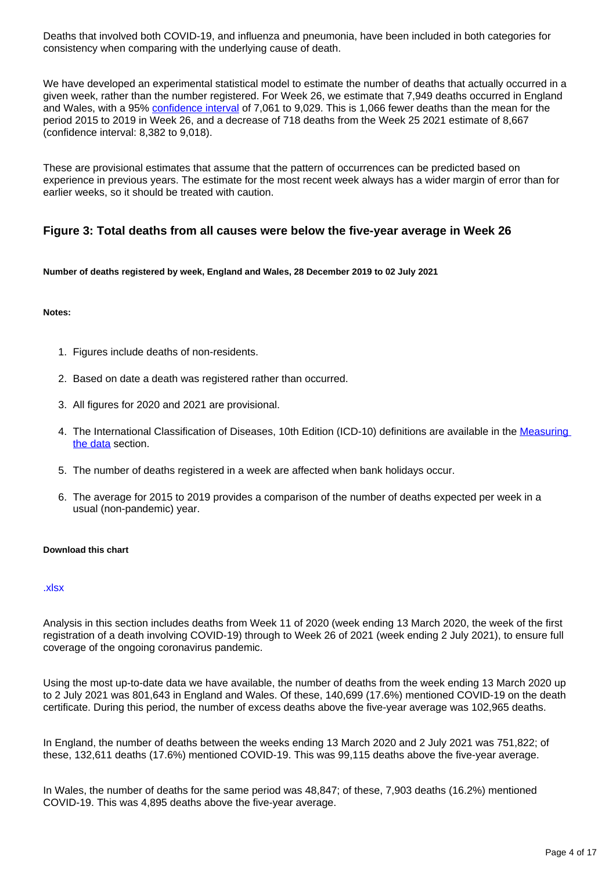Deaths that involved both COVID-19, and influenza and pneumonia, have been included in both categories for consistency when comparing with the underlying cause of death.

We have developed an experimental statistical model to estimate the number of deaths that actually occurred in a given week, rather than the number registered. For Week 26, we estimate that 7,949 deaths occurred in England and Wales, with a 95% [confidence interval](https://www.ons.gov.uk/methodology/methodologytopicsandstatisticalconcepts/uncertaintyandhowwemeasureit#confidence-interval) of 7,061 to 9,029. This is 1,066 fewer deaths than the mean for the period 2015 to 2019 in Week 26, and a decrease of 718 deaths from the Week 25 2021 estimate of 8,667 (confidence interval: 8,382 to 9,018).

These are provisional estimates that assume that the pattern of occurrences can be predicted based on experience in previous years. The estimate for the most recent week always has a wider margin of error than for earlier weeks, so it should be treated with caution.

#### **Figure 3: Total deaths from all causes were below the five-year average in Week 26**

**Number of deaths registered by week, England and Wales, 28 December 2019 to 02 July 2021**

#### **Notes:**

- 1. Figures include deaths of non-residents.
- 2. Based on date a death was registered rather than occurred.
- 3. All figures for 2020 and 2021 are provisional.
- 4. The International Classification of Diseases, 10th Edition (ICD-10) definitions are available in the Measuring [the data](https://www.ons.gov.uk/peoplepopulationandcommunity/birthsdeathsandmarriages/deaths/bulletins/deathsregisteredweeklyinenglandandwalesprovisional/weekending2july2021#measuring-the-data) section.
- 5. The number of deaths registered in a week are affected when bank holidays occur.
- 6. The average for 2015 to 2019 provides a comparison of the number of deaths expected per week in a usual (non-pandemic) year.

#### **Download this chart**

#### [.xlsx](https://www.ons.gov.uk/visualisations/dvc1472/fig3/datadownload.xlsx)

Analysis in this section includes deaths from Week 11 of 2020 (week ending 13 March 2020, the week of the first registration of a death involving COVID-19) through to Week 26 of 2021 (week ending 2 July 2021), to ensure full coverage of the ongoing coronavirus pandemic.

Using the most up-to-date data we have available, the number of deaths from the week ending 13 March 2020 up to 2 July 2021 was 801,643 in England and Wales. Of these, 140,699 (17.6%) mentioned COVID-19 on the death certificate. During this period, the number of excess deaths above the five-year average was 102,965 deaths.

In England, the number of deaths between the weeks ending 13 March 2020 and 2 July 2021 was 751,822; of these, 132,611 deaths (17.6%) mentioned COVID-19. This was 99,115 deaths above the five-year average.

In Wales, the number of deaths for the same period was 48,847; of these, 7,903 deaths (16.2%) mentioned COVID-19. This was 4,895 deaths above the five-year average.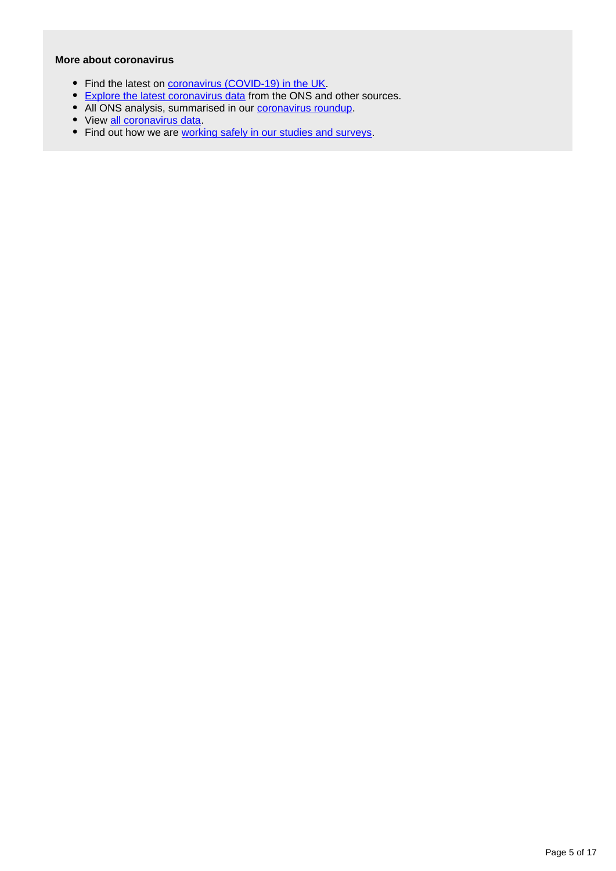#### **More about coronavirus**

- Find the latest on *coronavirus (COVID-19)* in the UK.
- **[Explore the latest coronavirus data](https://www.ons.gov.uk/peoplepopulationandcommunity/healthandsocialcare/conditionsanddiseases/articles/coronaviruscovid19/latestinsights)** from the ONS and other sources.
- All ONS analysis, summarised in our [coronavirus roundup.](https://www.ons.gov.uk/peoplepopulationandcommunity/healthandsocialcare/conditionsanddiseases/articles/coronaviruscovid19roundup/latest)
- View [all coronavirus data](https://www.ons.gov.uk/peoplepopulationandcommunity/healthandsocialcare/conditionsanddiseases/datalist).
- Find out how we are [working safely in our studies and surveys.](https://www.ons.gov.uk/news/statementsandletters/ensuringyoursafetyduringcovid19)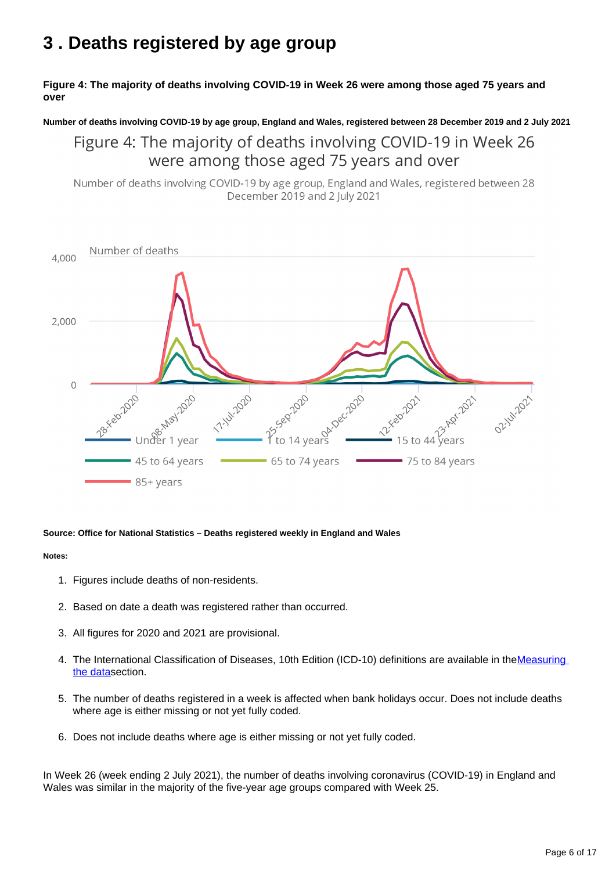# <span id="page-5-0"></span>**3 . Deaths registered by age group**

#### **Figure 4: The majority of deaths involving COVID-19 in Week 26 were among those aged 75 years and over**

#### **Number of deaths involving COVID-19 by age group, England and Wales, registered between 28 December 2019 and 2 July 2021**

### Figure 4: The majority of deaths involving COVID-19 in Week 26 were among those aged 75 years and over

Number of deaths involving COVID-19 by age group, England and Wales, registered between 28 December 2019 and 2 July 2021



#### **Source: Office for National Statistics – Deaths registered weekly in England and Wales**

#### **Notes:**

- 1. Figures include deaths of non-residents.
- 2. Based on date a death was registered rather than occurred.
- 3. All figures for 2020 and 2021 are provisional.
- 4. The International Classification of Diseases, 10th Edition (ICD-10) definitions are available in the Measuring [the data](https://www.ons.gov.uk/peoplepopulationandcommunity/birthsdeathsandmarriages/deaths/bulletins/deathsregisteredweeklyinenglandandwalesprovisional/weekending2july2021#measuring-the-data)section.
- 5. The number of deaths registered in a week is affected when bank holidays occur. Does not include deaths where age is either missing or not yet fully coded.
- 6. Does not include deaths where age is either missing or not yet fully coded.

In Week 26 (week ending 2 July 2021), the number of deaths involving coronavirus (COVID-19) in England and Wales was similar in the majority of the five-year age groups compared with Week 25.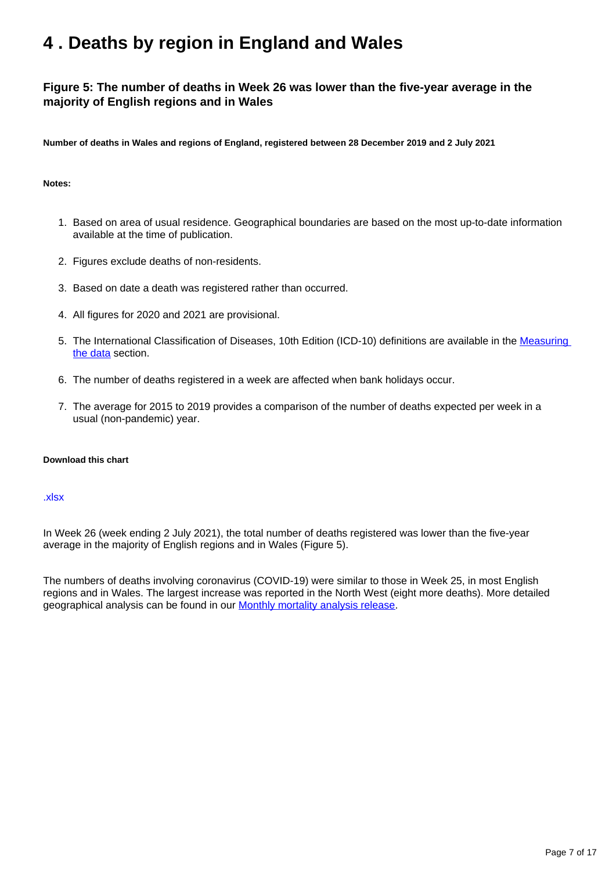# <span id="page-6-0"></span>**4 . Deaths by region in England and Wales**

### **Figure 5: The number of deaths in Week 26 was lower than the five-year average in the majority of English regions and in Wales**

**Number of deaths in Wales and regions of England, registered between 28 December 2019 and 2 July 2021**

#### **Notes:**

- 1. Based on area of usual residence. Geographical boundaries are based on the most up-to-date information available at the time of publication.
- 2. Figures exclude deaths of non-residents.
- 3. Based on date a death was registered rather than occurred.
- 4. All figures for 2020 and 2021 are provisional.
- 5. The International Classification of Diseases, 10th Edition (ICD-10) definitions are available in the Measuring [the data](https://www.ons.gov.uk/peoplepopulationandcommunity/birthsdeathsandmarriages/deaths/bulletins/deathsregisteredweeklyinenglandandwalesprovisional/weekending2july2021#measuring-the-data) section.
- 6. The number of deaths registered in a week are affected when bank holidays occur.
- 7. The average for 2015 to 2019 provides a comparison of the number of deaths expected per week in a usual (non-pandemic) year.

#### **Download this chart**

#### [.xlsx](https://www.ons.gov.uk/visualisations/dvc1472/fig5/datadownload.xlsx)

In Week 26 (week ending 2 July 2021), the total number of deaths registered was lower than the five-year average in the majority of English regions and in Wales (Figure 5).

The numbers of deaths involving coronavirus (COVID-19) were similar to those in Week 25, in most English regions and in Wales. The largest increase was reported in the North West (eight more deaths). More detailed geographical analysis can be found in our **[Monthly mortality analysis release](https://www.ons.gov.uk/peoplepopulationandcommunity/birthsdeathsandmarriages/deaths/bulletins/monthlymortalityanalysisenglandandwales/latest)**.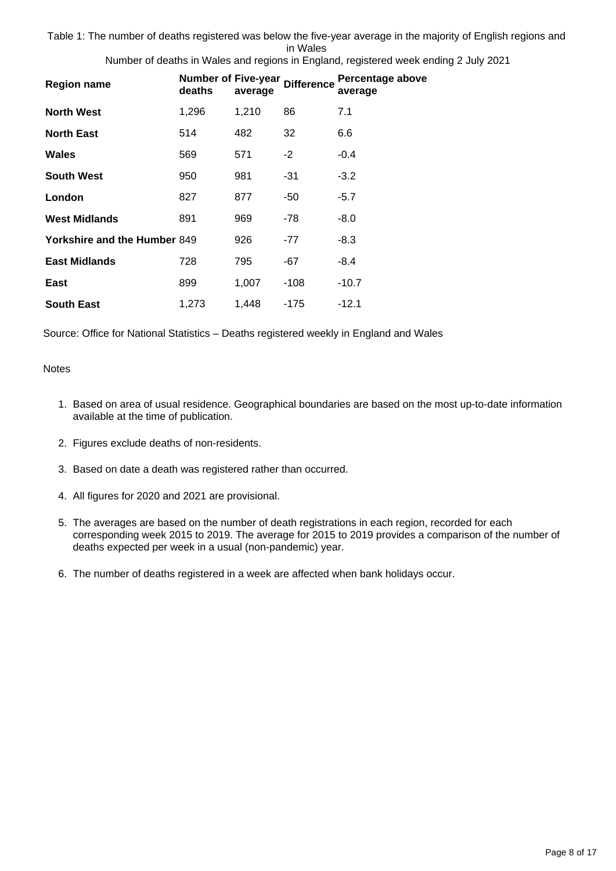Table 1: The number of deaths registered was below the five-year average in the majority of English regions and in Wales

Number of deaths in Wales and regions in England, registered week ending 2 July 2021

| <b>Region name</b>                  | <b>Number of Five-year</b><br>deaths | average | <b>Difference</b> | Percentage above<br>average |
|-------------------------------------|--------------------------------------|---------|-------------------|-----------------------------|
| <b>North West</b>                   | 1,296                                | 1,210   | 86                | 7.1                         |
| <b>North East</b>                   | 514                                  | 482     | 32                | 6.6                         |
| Wales                               | 569                                  | 571     | $-2$              | $-0.4$                      |
| <b>South West</b>                   | 950                                  | 981     | -31               | $-3.2$                      |
| London                              | 827                                  | 877     | -50               | $-5.7$                      |
| <b>West Midlands</b>                | 891                                  | 969     | -78               | -8.0                        |
| <b>Yorkshire and the Humber 849</b> |                                      | 926     | $-77$             | $-8.3$                      |
| <b>East Midlands</b>                | 728                                  | 795     | -67               | -8.4                        |
| East                                | 899                                  | 1,007   | $-108$            | -10.7                       |
| <b>South East</b>                   | 1,273                                | 1,448   | -175              | $-12.1$                     |

Source: Office for National Statistics – Deaths registered weekly in England and Wales

#### **Notes**

- 1. Based on area of usual residence. Geographical boundaries are based on the most up-to-date information available at the time of publication.
- 2. Figures exclude deaths of non-residents.
- 3. Based on date a death was registered rather than occurred.
- 4. All figures for 2020 and 2021 are provisional.
- 5. The averages are based on the number of death registrations in each region, recorded for each corresponding week 2015 to 2019. The average for 2015 to 2019 provides a comparison of the number of deaths expected per week in a usual (non-pandemic) year.
- 6. The number of deaths registered in a week are affected when bank holidays occur.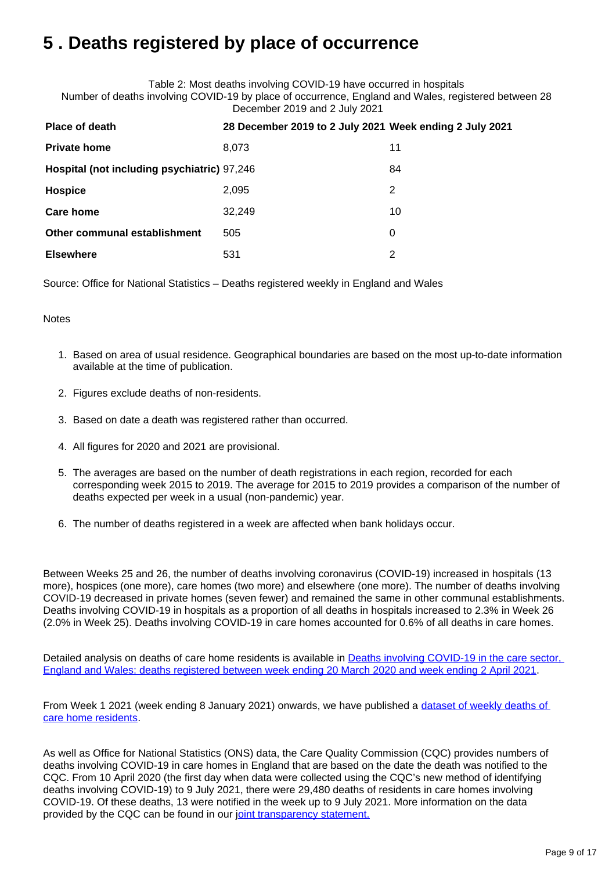# <span id="page-8-0"></span>**5 . Deaths registered by place of occurrence**

Table 2: Most deaths involving COVID-19 have occurred in hospitals Number of deaths involving COVID-19 by place of occurrence, England and Wales, registered between 28 December 2019 and 2 July 2021

| <b>Place of death</b>                       | 28 December 2019 to 2 July 2021 Week ending 2 July 2021 |    |
|---------------------------------------------|---------------------------------------------------------|----|
| <b>Private home</b>                         | 8,073                                                   | 11 |
| Hospital (not including psychiatric) 97,246 |                                                         | 84 |
| Hospice                                     | 2,095                                                   | 2  |
| Care home                                   | 32,249                                                  | 10 |
| Other communal establishment                | 505                                                     | 0  |
| <b>Elsewhere</b>                            | 531                                                     | 2  |

Source: Office for National Statistics – Deaths registered weekly in England and Wales

#### **Notes**

- 1. Based on area of usual residence. Geographical boundaries are based on the most up-to-date information available at the time of publication.
- 2. Figures exclude deaths of non-residents.
- 3. Based on date a death was registered rather than occurred.
- 4. All figures for 2020 and 2021 are provisional.
- 5. The averages are based on the number of death registrations in each region, recorded for each corresponding week 2015 to 2019. The average for 2015 to 2019 provides a comparison of the number of deaths expected per week in a usual (non-pandemic) year.
- 6. The number of deaths registered in a week are affected when bank holidays occur.

Between Weeks 25 and 26, the number of deaths involving coronavirus (COVID-19) increased in hospitals (13 more), hospices (one more), care homes (two more) and elsewhere (one more). The number of deaths involving COVID-19 decreased in private homes (seven fewer) and remained the same in other communal establishments. Deaths involving COVID-19 in hospitals as a proportion of all deaths in hospitals increased to 2.3% in Week 26 (2.0% in Week 25). Deaths involving COVID-19 in care homes accounted for 0.6% of all deaths in care homes.

Detailed analysis on deaths of care home residents is available in Deaths involving COVID-19 in the care sector, [England and Wales: deaths registered between week ending 20 March 2020 and week ending 2 April 2021.](https://www.ons.gov.uk/peoplepopulationandcommunity/birthsdeathsandmarriages/deaths/articles/deathsinvolvingcovid19inthecaresectorenglandandwales/deathsregisteredbetweenweekending20march2020andweekending2april2021)

From Week 1 2021 (week ending 8 January 2021) onwards, we have published a dataset of weekly deaths of [care home residents](https://www.ons.gov.uk/peoplepopulationandcommunity/birthsdeathsandmarriages/deaths/datasets/carehomeresidentdeathsregisteredinenglandandwalesprovisional).

As well as Office for National Statistics (ONS) data, the Care Quality Commission (CQC) provides numbers of deaths involving COVID-19 in care homes in England that are based on the date the death was notified to the CQC. From 10 April 2020 (the first day when data were collected using the CQC's new method of identifying deaths involving COVID-19) to 9 July 2021, there were 29,480 deaths of residents in care homes involving COVID-19. Of these deaths, 13 were notified in the week up to 9 July 2021. More information on the data provided by the CQC can be found in our [joint transparency statement.](https://www.ons.gov.uk/news/statementsandletters/publicationofstatisticsondeathsinvolvingcovid19incarehomesinenglandtransparencystatement)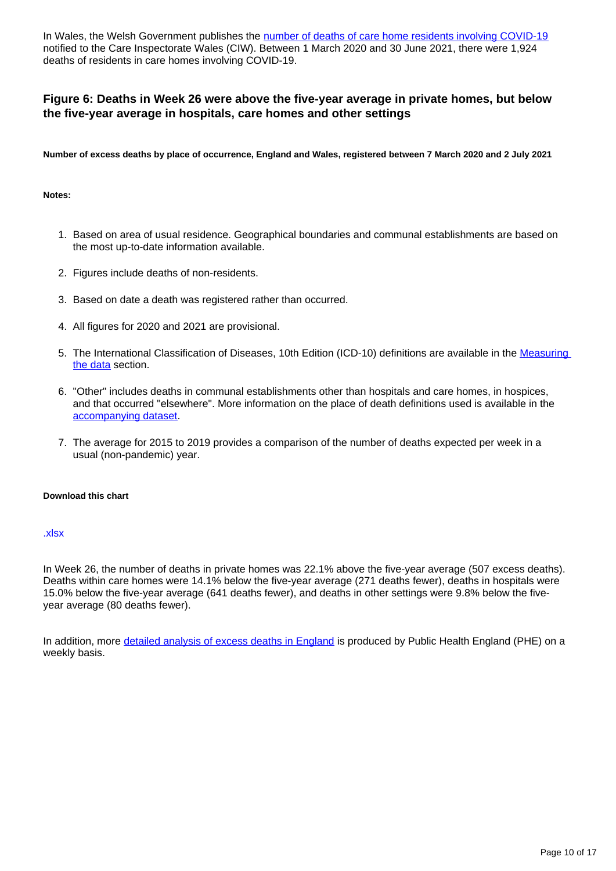In Wales, the Welsh Government publishes the [number of deaths of care home residents involving COVID-19](https://gov.wales/notifications-deaths-residents-related-covid-19-adult-care-homes) notified to the Care Inspectorate Wales (CIW). Between 1 March 2020 and 30 June 2021, there were 1,924 deaths of residents in care homes involving COVID-19.

### **Figure 6: Deaths in Week 26 were above the five-year average in private homes, but below the five-year average in hospitals, care homes and other settings**

**Number of excess deaths by place of occurrence, England and Wales, registered between 7 March 2020 and 2 July 2021**

#### **Notes:**

- 1. Based on area of usual residence. Geographical boundaries and communal establishments are based on the most up-to-date information available.
- 2. Figures include deaths of non-residents.
- 3. Based on date a death was registered rather than occurred.
- 4. All figures for 2020 and 2021 are provisional.
- 5. The International Classification of Diseases, 10th Edition (ICD-10) definitions are available in the Measuring [the data](https://www.ons.gov.uk/peoplepopulationandcommunity/birthsdeathsandmarriages/deaths/bulletins/deathsregisteredweeklyinenglandandwalesprovisional/weekending2july2021#measuring-the-data) section.
- 6. "Other" includes deaths in communal establishments other than hospitals and care homes, in hospices, and that occurred "elsewhere". More information on the place of death definitions used is available in the [accompanying dataset.](https://www.ons.gov.uk/peoplepopulationandcommunity/birthsdeathsandmarriages/deaths/datasets/weeklyprovisionalfiguresondeathsregisteredinenglandandwales)
- 7. The average for 2015 to 2019 provides a comparison of the number of deaths expected per week in a usual (non-pandemic) year.

#### **Download this chart**

#### [.xlsx](https://www.ons.gov.uk/visualisations/dvc1472/fig6/datadownload.xlsx)

In Week 26, the number of deaths in private homes was 22.1% above the five-year average (507 excess deaths). Deaths within care homes were 14.1% below the five-year average (271 deaths fewer), deaths in hospitals were 15.0% below the five-year average (641 deaths fewer), and deaths in other settings were 9.8% below the fiveyear average (80 deaths fewer).

In addition, more [detailed analysis of excess deaths in England](https://www.gov.uk/government/statistics/excess-mortality-in-england-weekly-reports) is produced by Public Health England (PHE) on a weekly basis.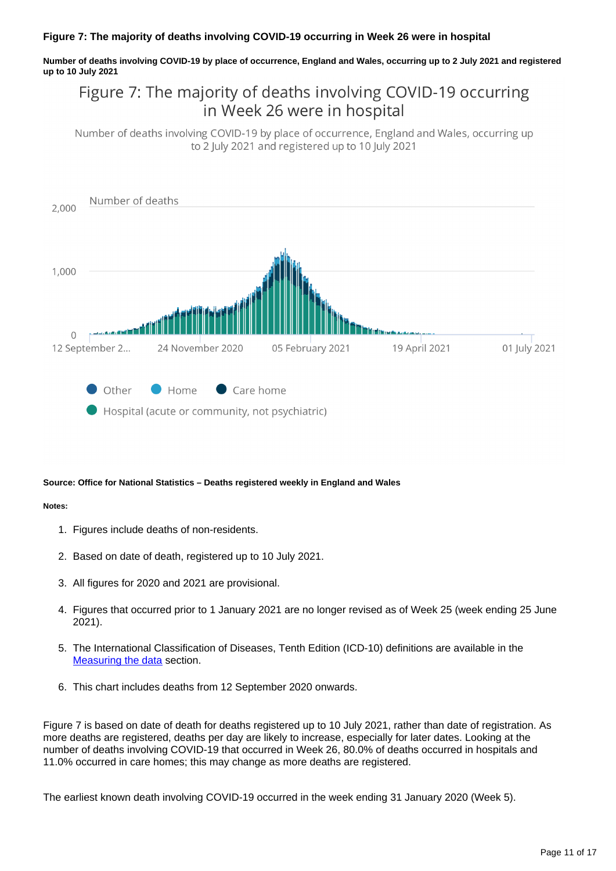#### **Figure 7: The majority of deaths involving COVID-19 occurring in Week 26 were in hospital**

**Number of deaths involving COVID-19 by place of occurrence, England and Wales, occurring up to 2 July 2021 and registered up to 10 July 2021**

## Figure 7: The majority of deaths involving COVID-19 occurring in Week 26 were in hospital

Number of deaths involving COVID-19 by place of occurrence, England and Wales, occurring up to 2 July 2021 and registered up to 10 July 2021



#### **Source: Office for National Statistics – Deaths registered weekly in England and Wales**

#### **Notes:**

- 1. Figures include deaths of non-residents.
- 2. Based on date of death, registered up to 10 July 2021.
- 3. All figures for 2020 and 2021 are provisional.
- 4. Figures that occurred prior to 1 January 2021 are no longer revised as of Week 25 (week ending 25 June 2021).
- 5. The International Classification of Diseases, Tenth Edition (ICD-10) definitions are available in the [Measuring the data](https://www.ons.gov.uk/peoplepopulationandcommunity/birthsdeathsandmarriages/deaths/bulletins/deathsregisteredweeklyinenglandandwalesprovisional/weekending2july2021#measuring-the-data) section.
- 6. This chart includes deaths from 12 September 2020 onwards.

Figure 7 is based on date of death for deaths registered up to 10 July 2021, rather than date of registration. As more deaths are registered, deaths per day are likely to increase, especially for later dates. Looking at the number of deaths involving COVID-19 that occurred in Week 26, 80.0% of deaths occurred in hospitals and 11.0% occurred in care homes; this may change as more deaths are registered.

The earliest known death involving COVID-19 occurred in the week ending 31 January 2020 (Week 5).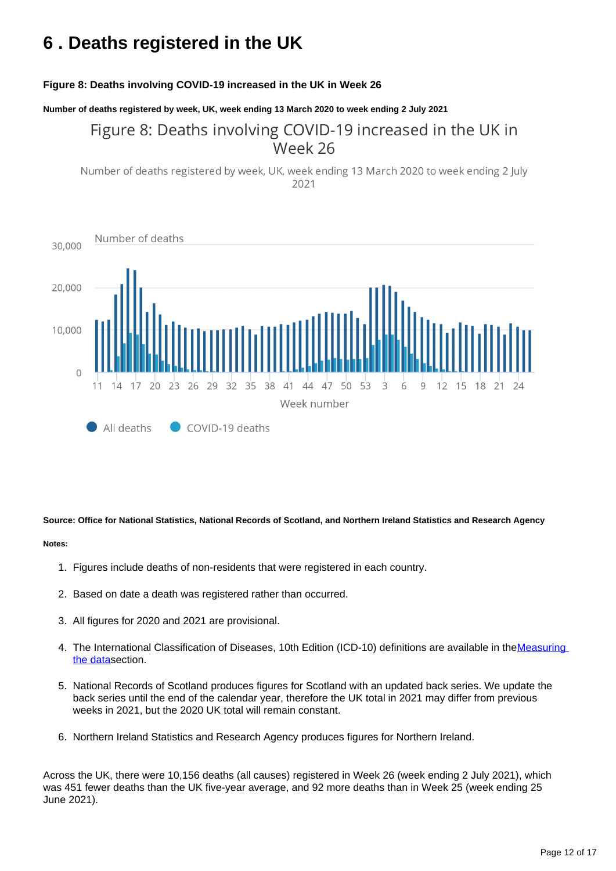# <span id="page-11-0"></span>**6 . Deaths registered in the UK**

#### **Figure 8: Deaths involving COVID-19 increased in the UK in Week 26**

**Number of deaths registered by week, UK, week ending 13 March 2020 to week ending 2 July 2021**

### Figure 8: Deaths involving COVID-19 increased in the UK in Week 26

Number of deaths registered by week, UK, week ending 13 March 2020 to week ending 2 July 2021



#### **Source: Office for National Statistics, National Records of Scotland, and Northern Ireland Statistics and Research Agency**

#### **Notes:**

- 1. Figures include deaths of non-residents that were registered in each country.
- 2. Based on date a death was registered rather than occurred.
- 3. All figures for 2020 and 2021 are provisional.
- 4. The International Classification of Diseases, 10th Edition (ICD-10) definitions are available in the Measuring [the data](https://www.ons.gov.uk/peoplepopulationandcommunity/birthsdeathsandmarriages/deaths/bulletins/deathsregisteredweeklyinenglandandwalesprovisional/weekending2july2021#measuring-the-data)section.
- 5. National Records of Scotland produces figures for Scotland with an updated back series. We update the back series until the end of the calendar year, therefore the UK total in 2021 may differ from previous weeks in 2021, but the 2020 UK total will remain constant.
- 6. Northern Ireland Statistics and Research Agency produces figures for Northern Ireland.

Across the UK, there were 10,156 deaths (all causes) registered in Week 26 (week ending 2 July 2021), which was 451 fewer deaths than the UK five-year average, and 92 more deaths than in Week 25 (week ending 25 June 2021).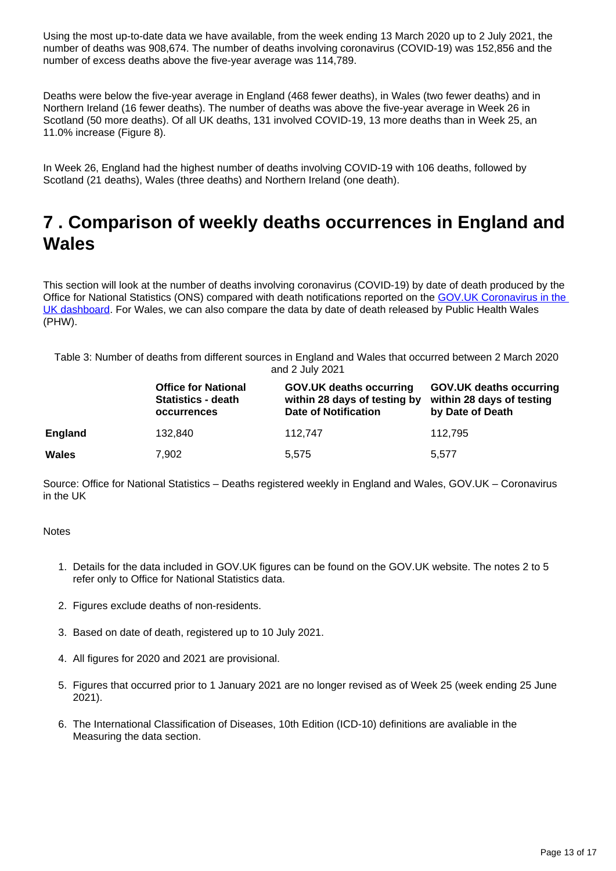Using the most up-to-date data we have available, from the week ending 13 March 2020 up to 2 July 2021, the number of deaths was 908,674. The number of deaths involving coronavirus (COVID-19) was 152,856 and the number of excess deaths above the five-year average was 114,789.

Deaths were below the five-year average in England (468 fewer deaths), in Wales (two fewer deaths) and in Northern Ireland (16 fewer deaths). The number of deaths was above the five-year average in Week 26 in Scotland (50 more deaths). Of all UK deaths, 131 involved COVID-19, 13 more deaths than in Week 25, an 11.0% increase (Figure 8).

In Week 26, England had the highest number of deaths involving COVID-19 with 106 deaths, followed by Scotland (21 deaths), Wales (three deaths) and Northern Ireland (one death).

## <span id="page-12-0"></span>**7 . Comparison of weekly deaths occurrences in England and Wales**

This section will look at the number of deaths involving coronavirus (COVID-19) by date of death produced by the Office for National Statistics (ONS) compared with death notifications reported on the GOV.UK Coronavirus in the [UK dashboard](https://coronavirus.data.gov.uk/). For Wales, we can also compare the data by date of death released by Public Health Wales (PHW).

Table 3: Number of deaths from different sources in England and Wales that occurred between 2 March 2020 and 2 July 2021

|                | <b>Office for National</b><br><b>Statistics - death</b><br><b>occurrences</b> | <b>GOV.UK deaths occurring</b><br>within 28 days of testing by<br><b>Date of Notification</b> | <b>GOV.UK deaths occurring</b><br>within 28 days of testing<br>by Date of Death |
|----------------|-------------------------------------------------------------------------------|-----------------------------------------------------------------------------------------------|---------------------------------------------------------------------------------|
| <b>England</b> | 132.840                                                                       | 112.747                                                                                       | 112.795                                                                         |
| <b>Wales</b>   | 7,902                                                                         | 5.575                                                                                         | 5.577                                                                           |

Source: Office for National Statistics – Deaths registered weekly in England and Wales, GOV.UK – Coronavirus in the UK

#### **Notes**

- 1. Details for the data included in GOV.UK figures can be found on the GOV.UK website. The notes 2 to 5 refer only to Office for National Statistics data.
- 2. Figures exclude deaths of non-residents.
- 3. Based on date of death, registered up to 10 July 2021.
- 4. All figures for 2020 and 2021 are provisional.
- 5. Figures that occurred prior to 1 January 2021 are no longer revised as of Week 25 (week ending 25 June 2021).
- 6. The International Classification of Diseases, 10th Edition (ICD-10) definitions are avaliable in the Measuring the data section.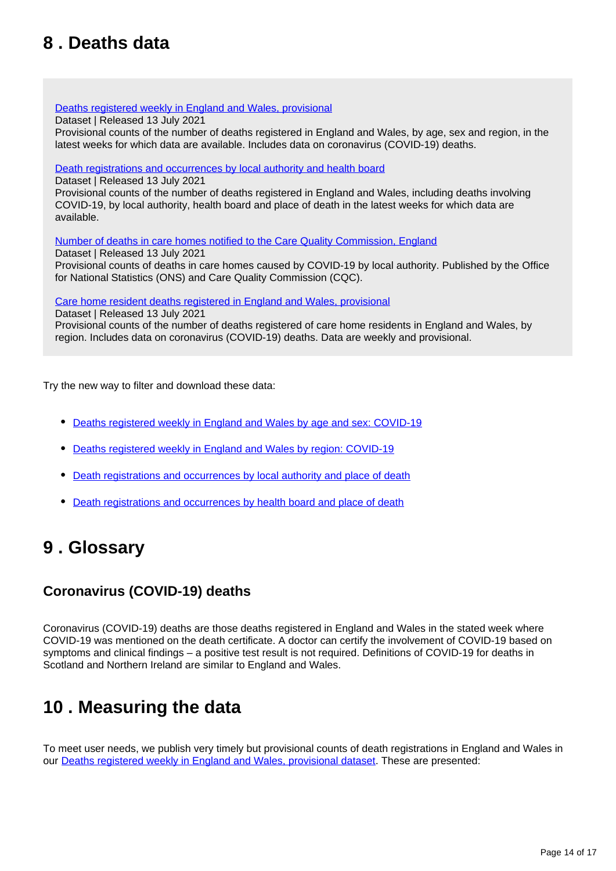# <span id="page-13-0"></span>**8 . Deaths data**

#### [Deaths registered weekly in England and Wales, provisional](https://www.ons.gov.uk/peoplepopulationandcommunity/birthsdeathsandmarriages/deaths/datasets/weeklyprovisionalfiguresondeathsregisteredinenglandandwales)

Dataset | Released 13 July 2021

Provisional counts of the number of deaths registered in England and Wales, by age, sex and region, in the latest weeks for which data are available. Includes data on coronavirus (COVID-19) deaths.

#### [Death registrations and occurrences by local authority and health board](https://www.ons.gov.uk/peoplepopulationandcommunity/healthandsocialcare/causesofdeath/datasets/deathregistrationsandoccurrencesbylocalauthorityandhealthboard)

Dataset | Released 13 July 2021

Provisional counts of the number of deaths registered in England and Wales, including deaths involving COVID-19, by local authority, health board and place of death in the latest weeks for which data are available.

[Number of deaths in care homes notified to the Care Quality Commission, England](https://www.ons.gov.uk/peoplepopulationandcommunity/birthsdeathsandmarriages/deaths/datasets/numberofdeathsincarehomesnotifiedtothecarequalitycommissionengland)

Dataset | Released 13 July 2021 Provisional counts of deaths in care homes caused by COVID-19 by local authority. Published by the Office for National Statistics (ONS) and Care Quality Commission (CQC).

[Care home resident deaths registered in England and Wales, provisional](https://www.ons.gov.uk/peoplepopulationandcommunity/birthsdeathsandmarriages/deaths/datasets/carehomeresidentdeathsregisteredinenglandandwalesprovisional)

Dataset | Released 13 July 2021 Provisional counts of the number of deaths registered of care home residents in England and Wales, by region. Includes data on coronavirus (COVID-19) deaths. Data are weekly and provisional.

Try the new way to filter and download these data:

- [Deaths registered weekly in England and Wales by age and sex: COVID-19](https://www.ons.gov.uk/datasets/weekly-deaths-age-sex?%3Auri=weekly-deaths-age-sex%2F)
- [Deaths registered weekly in England and Wales by region: COVID-19](https://www.ons.gov.uk/datasets/weekly-deaths-region/)
- [Death registrations and occurrences by local authority and place of death](https://www.ons.gov.uk/datasets/weekly-deaths-local-authority/)
- [Death registrations and occurrences by health board and place of death](https://www.ons.gov.uk/datasets/weekly-deaths-health-board/editions/time-series/versions?%3Auri=weekly-deaths-health-board%2Feditions%2Ftime-series%2Fversions%2F)

## <span id="page-13-1"></span>**9 . Glossary**

### **Coronavirus (COVID-19) deaths**

Coronavirus (COVID-19) deaths are those deaths registered in England and Wales in the stated week where COVID-19 was mentioned on the death certificate. A doctor can certify the involvement of COVID-19 based on symptoms and clinical findings – a positive test result is not required. Definitions of COVID-19 for deaths in Scotland and Northern Ireland are similar to England and Wales.

## <span id="page-13-2"></span>**10 . Measuring the data**

To meet user needs, we publish very timely but provisional counts of death registrations in England and Wales in our [Deaths registered weekly in England and Wales, provisional dataset](https://www.ons.gov.uk/peoplepopulationandcommunity/birthsdeathsandmarriages/deaths/datasets/weeklyprovisionalfiguresondeathsregisteredinenglandandwales). These are presented: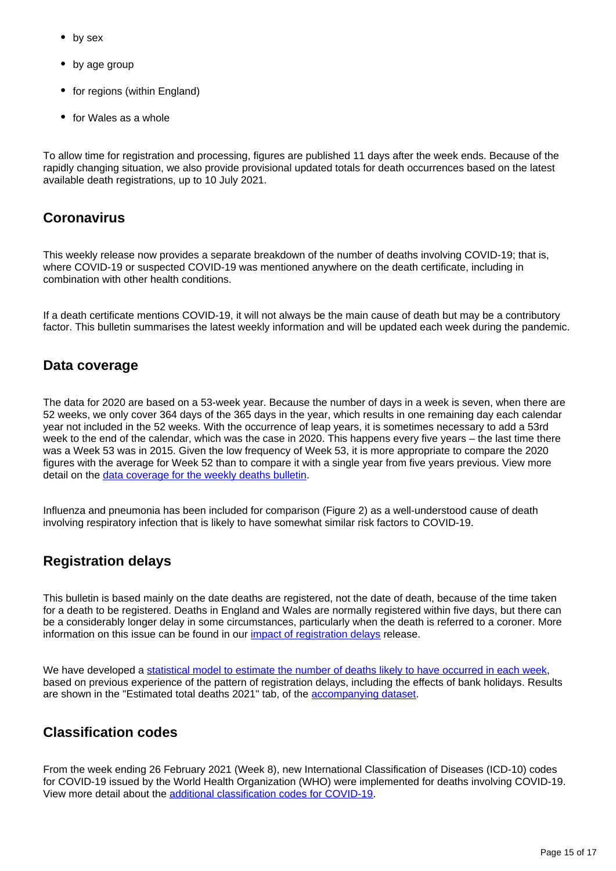- by sex
- by age group
- for regions (within England)
- for Wales as a whole

To allow time for registration and processing, figures are published 11 days after the week ends. Because of the rapidly changing situation, we also provide provisional updated totals for death occurrences based on the latest available death registrations, up to 10 July 2021.

### **Coronavirus**

This weekly release now provides a separate breakdown of the number of deaths involving COVID-19; that is, where COVID-19 or suspected COVID-19 was mentioned anywhere on the death certificate, including in combination with other health conditions.

If a death certificate mentions COVID-19, it will not always be the main cause of death but may be a contributory factor. This bulletin summarises the latest weekly information and will be updated each week during the pandemic.

### **Data coverage**

The data for 2020 are based on a 53-week year. Because the number of days in a week is seven, when there are 52 weeks, we only cover 364 days of the 365 days in the year, which results in one remaining day each calendar year not included in the 52 weeks. With the occurrence of leap years, it is sometimes necessary to add a 53rd week to the end of the calendar, which was the case in 2020. This happens every five years – the last time there was a Week 53 was in 2015. Given the low frequency of Week 53, it is more appropriate to compare the 2020 figures with the average for Week 52 than to compare it with a single year from five years previous. View more detail on the [data coverage for the weekly deaths bulletin](https://www.ons.gov.uk/peoplepopulationandcommunity/birthsdeathsandmarriages/deaths/methodologies/coronavirusandmortalityinenglandandwalesmethodology).

Influenza and pneumonia has been included for comparison (Figure 2) as a well-understood cause of death involving respiratory infection that is likely to have somewhat similar risk factors to COVID-19.

### **Registration delays**

This bulletin is based mainly on the date deaths are registered, not the date of death, because of the time taken for a death to be registered. Deaths in England and Wales are normally registered within five days, but there can be a considerably longer delay in some circumstances, particularly when the death is referred to a coroner. More information on this issue can be found in our [impact of registration delays](https://www.ons.gov.uk/peoplepopulationandcommunity/birthsdeathsandmarriages/deaths/articles/impactofregistrationdelaysonmortalitystatisticsinenglandandwales/2019) release.

We have developed a [statistical model to estimate the number of deaths likely to have occurred in each week,](https://www.ons.gov.uk/peoplepopulationandcommunity/birthsdeathsandmarriages/deaths/methodologies/predictingtotalweeklydeathoccurrencesinenglandandwalesmethodology) based on previous experience of the pattern of registration delays, including the effects of bank holidays. Results are shown in the "Estimated total deaths 2021" tab, of the **accompanying dataset**.

### **Classification codes**

From the week ending 26 February 2021 (Week 8), new International Classification of Diseases (ICD-10) codes for COVID-19 issued by the World Health Organization (WHO) were implemented for deaths involving COVID-19. View more detail about the [additional classification codes for COVID-19.](https://www.ons.gov.uk/peoplepopulationandcommunity/birthsdeathsandmarriages/deaths/methodologies/coronavirusandmortalityinenglandandwalesmethodology)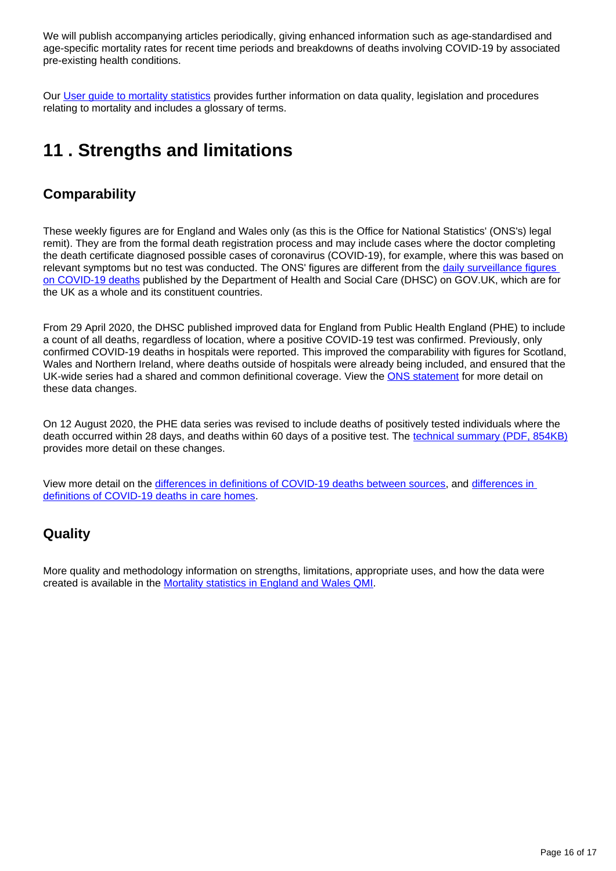We will publish accompanying articles periodically, giving enhanced information such as age-standardised and age-specific mortality rates for recent time periods and breakdowns of deaths involving COVID-19 by associated pre-existing health conditions.

Our [User guide to mortality statistics](https://www.ons.gov.uk/peoplepopulationandcommunity/birthsdeathsandmarriages/deaths/methodologies/userguidetomortalitystatisticsjuly2017) provides further information on data quality, legislation and procedures relating to mortality and includes a glossary of terms.

# <span id="page-15-0"></span>**11 . Strengths and limitations**

### **Comparability**

These weekly figures are for England and Wales only (as this is the Office for National Statistics' (ONS's) legal remit). They are from the formal death registration process and may include cases where the doctor completing the death certificate diagnosed possible cases of coronavirus (COVID-19), for example, where this was based on relevant symptoms but no test was conducted. The ONS' figures are different from the daily surveillance figures [on COVID-19 deaths](https://coronavirus.data.gov.uk/) published by the Department of Health and Social Care (DHSC) on GOV.UK, which are for the UK as a whole and its constituent countries.

From 29 April 2020, the DHSC published improved data for England from Public Health England (PHE) to include a count of all deaths, regardless of location, where a positive COVID-19 test was confirmed. Previously, only confirmed COVID-19 deaths in hospitals were reported. This improved the comparability with figures for Scotland, Wales and Northern Ireland, where deaths outside of hospitals were already being included, and ensured that the UK-wide series had a shared and common definitional coverage. View the [ONS statement](https://www.ons.gov.uk/news/statementsandletters/thedifferentusesoffiguresondeathsfromcovid19publishedbydhscandtheons) for more detail on these data changes.

On 12 August 2020, the PHE data series was revised to include deaths of positively tested individuals where the death occurred within 28 days, and deaths within 60 days of a positive test. The [technical summary \(PDF, 854KB\)](https://assets.publishing.service.gov.uk/government/uploads/system/uploads/attachment_data/file/916035/RA_Technical_Summary_-_PHE_Data_Series_COVID_19_Deaths_20200812.pdf) provides more detail on these changes.

View more detail on the [differences in definitions of COVID-19 deaths between sources,](https://www.ons.gov.uk/peoplepopulationandcommunity/birthsdeathsandmarriages/deaths/methodologies/coronavirusandmortalityinenglandandwalesmethodology) and [differences in](https://www.ons.gov.uk/peoplepopulationandcommunity/birthsdeathsandmarriages/deaths/methodologies/coronavirusandmortalityinenglandandwalesmethodology)  [definitions of COVID-19 deaths in care homes.](https://www.ons.gov.uk/peoplepopulationandcommunity/birthsdeathsandmarriages/deaths/methodologies/coronavirusandmortalityinenglandandwalesmethodology)

### **Quality**

More quality and methodology information on strengths, limitations, appropriate uses, and how the data were created is available in the [Mortality statistics in England and Wales QMI.](https://www.ons.gov.uk/peoplepopulationandcommunity/birthsdeathsandmarriages/deaths/methodologies/mortalitystatisticsinenglandandwalesqmi)